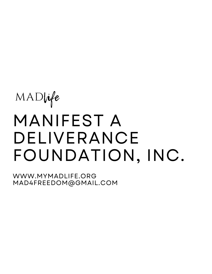# MANIFEST A DELIVERANCE FOUNDATION, INC. MADlife

WWW.MYMADLIFE.ORG MAD4FREEDOM@GMAIL.COM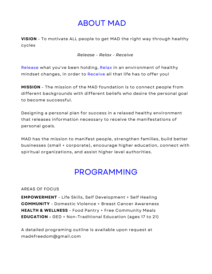## ABOUT MAD

**VISION** - To motivate ALL people to get MAD the right way through healthy cycles

*Release - Relax - Receive*

Release what you've been holding, Relax in an environment of healthy mindset changes, in order to Receive all that life has to offer you!

**MISSION** - The mission of the MAD foundation is to connect people from different backgrounds with different beliefs who desire the personal goal to become successful.

Designing a personal plan for success in a relaxed healthy environment that releases information necessary to receive the manifestations of personal goals.

MAD has the mission to manifest people, strengthen families, build better businesses (small + corporate), encourage higher education, connect with spiritual organizations, and assist higher level authorities.

## PROGRAMMING

AREAS OF FOCUS

**EMPOWERMENT** - Life Skills, Self Development + Self Healing **COMMUNITY** - Domestic Violence + Breast Cancer Awareness **HEALTH & WELLNESS** - Food Pantry + Free Community Meals **EDUCATION -** GED + Non-Traditional Education (ages 17 to 21)

A detailed programing outline is available upon request at mad4freedom@gmail.com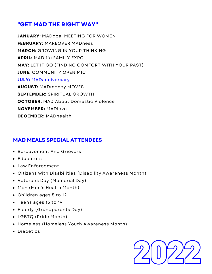## **"GET MAD THE RIGHT WAY"**

**JANUARY:** MADgoal MEETING FOR WOMEN **FEBRUARY:** MAKEOVER MADness **MARCH:** GROWING IN YOUR THINKING **APRIL:** MADlife FAMILY EXPO **MAY:** LET IT GO (FINDING COMFORT WITH YOUR PAST) **JUNE:** COMMUNITY OPEN MIC **JULY:** MADanniversary **AUGUST:** MADmoney MOVES **SEPTEMBER:** SPIRITUAL GROWTH **OCTOBER:** MAD About Domestic Violence **NOVEMBER:** MADlove **DECEMBER:** MADhealth

## **MAD MEALS SPECIAL ATTENDEES**

- **Bereavement And Grievers**
- Educators
- Law Enforcement
- Citizens with Disabilities (Disability Awareness Month)
- Veterans Day (Memorial Day)
- Men (Men's Health Month)
- Children ages 5 to 12
- Teens ages 13 to 19
- Elderly (Grandparents Day)
- LGBTQ (Pride Month)
- Homeless (Homeless Youth Awareness Month)
- Diabetics

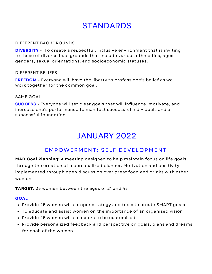#### DIFFERENT BACKGROUNDS

**DIVERSITY** - To create a respectful, inclusive environment that is inviting to those of diverse backgrounds that include various ethnicities, ages, genders, sexual orientations, and socioeconomic statuses.

#### DIFFERENT BELIEFS

**FREEDOM** - Everyone will have the liberty to profess one's belief as we work together for the common goal.

#### SAME GOAL

**SUCCESS** - Everyone will set clear goals that will influence, motivate, and increase one's performance to manifest successful individuals and a successful foundation.

## JANUARY 2022

## EMPOWERMENT: SELF DEVELOPMENT

**MAD Goal Planning:** A meeting designed to help maintain focus on life goals through the creation of a personalized planner. Motivation and positivity implemented through open discussion over great food and drinks with other women.

**TARGET:** 25 women between the ages of 21 and 45

- Provide 25 women with proper strategy and tools to create SMART goals
- To educate and assist women on the importance of an organized vision
- Provide 25 women with planners to be customized
- Provide personalized feedback and perspective on goals, plans and dreams for each of the women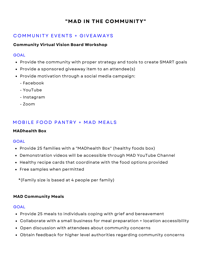## C OMMUNITY EVENTS + G IVEAWAYS

## **Community Virtual Vision Board Workshop**

#### **GOAL**

- Provide the community with proper strategy and tools to create SMART goals
- Provide a sponsored giveaway item to an attendee(s)
- Provide motivation through a social media campaign:
	- Facebook
	- YouTube
	- Instagram
	- $-700m$

## MOBILE FOOD PANTRY + MAD MEALS

## **MADhealth Box**

## **GOAL**

- Provide 25 families with a "MADhealth Box" (healthy foods box)
- Demonstration videos will be accessible through MAD YouTube Channel
- Healthy recipe cards that coordinate with the food options provided
- Free samples when permitted

\*(Family size is based at 4 people per family)

## **MAD Community Meals**

- Provide 25 meals to individuals coping with grief and bereavement
- Collaborate with a small business for meal preparation + location accessibility
- Open discussion with attendees about community concerns
- Obtain feedback for higher level authorities regarding community concerns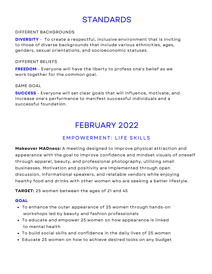## DIFFERENT BACKGROUNDS

**DIVERSITY** - To create a respectful, inclusive environment that is inviting to those of diverse backgrounds that include various ethnicities, ages, genders, sexual orientations, and socioeconomic statuses.

#### DIFFERENT BELIEFS

**FREEDOM** - Everyone will have the liberty to profess one's belief as we work together for the common goal.

## SAME GOAL

**SUCCESS** - Everyone will set clear goals that will influence, motivate, and increase one's performance to manifest successful individuals and a successful foundation.

## FEBRUARY 2022

## EMPOWERMENT: LIFE SKILLS

**Makeover MADness:** A meeting designed to improve physical attraction and appearance with the goal to improve confidence and mindset visuals of oneself through apparel, beauty, and professional photography, utilizing small businesses. Motivation and positivity are implemented through open discussion, informational speakers, and relatable vendors while enjoying healthy food and drinks with other women who are seeking a better lifestyle.

**TARGET:** 25 women between the ages of 21 and 45

- To enhance the outer appearance of 25 women through hands-on workshops led by beauty and fashion professionals
- To educate and empower 25 women on how appearance is linked to mental health
- To build social skills and confidence in the daily lives of 25 women
- Educate 25 women on how to achieve desired looks on any budget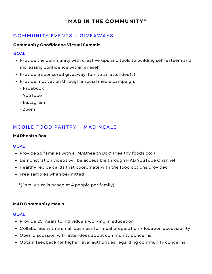## C OMMUNITY EVENTS + G IVEAWAYS

## **Community Confidence Virtual Summit**

#### GOAL

- Provide the community with creative tips and tools to building self-esteem and increasing confidence within oneself
- Provide a sponsored giveaway item to an attendee(s)
- Provide motivation through a social media campaign:
	- Facebook
	- YouTube
	- Instagram
	- Zoom

## MOBILE FOOD PANTRY + MAD MEALS

## **MADhealth Box**

#### GOAL

- Provide 25 families with a "MADhealth Box" (healthy foods box)
- Demonstration videos will be accessible through MAD YouTube Channel
- Healthy recipe cards that coordinate with the food options provided
- Free samples when permitted
	- \*(Family size is based at 4 people per family)

## **MAD Community Meals**

- Provide 25 meals to individuals working in education
- Collaborate with a small business for meal preparation + location accessibility
- Open discussion with attendees about community concerns
- Obtain feedback for higher level authorities regarding community concerns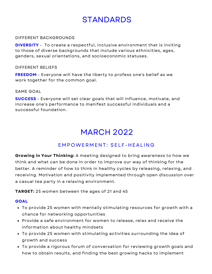## DIFFERENT BACKGROUNDS

**DIVERSITY** - To create a respectful, inclusive environment that is inviting to those of diverse backgrounds that include various ethnicities, ages, genders, sexual orientations, and socioeconomic statuses.

#### DIFFERENT BELIEFS

**FREEDOM** - Everyone will have the liberty to profess one's belief as we work together for the common goal.

#### SAME GOAL

**SUCCESS** - Everyone will set clear goals that will influence, motivate, and increase one's performance to manifest successful individuals and a successful foundation.

## MARCH 2022

## EMPOWERMENT: SELF-HEALING

**Growing in Your Thinking:** A meeting designed to bring awareness to how we think and what can be done in order to improve our way of thinking for the better. A reminder of how to think in healthy cycles by releasing, relaxing, and receiving. Motivation and positivity implemented through open discussion over a casual tea party in a relaxing environment.

**TARGET:** 25 women between the ages of 21 and 45

- To provide 25 women with mentally stimulating resources for growth with a chance for networking opportunities
- Provide a safe environment for women to release, relax and receive the information about healthy mindsets
- To provide 25 women with stimulating activities surrounding the idea of growth and success
- To provide a rigorous forum of conversation for reviewing growth goals and how to obtain results, and finding the best growing hacks to implement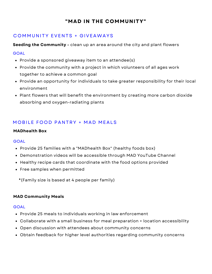## C OMMUNITY EVENTS + G IVEAWAYS

**Seeding the Community -** clean up an area around the city and plant flowers

## **GOAL**

- Provide a sponsored giveaway item to an attendee(s)
- Provide the community with a project in which volunteers of all ages work together to achieve a common goal
- Provide an opportunity for individuals to take greater responsibility for their local environment
- Plant flowers that will benefit the environment by creating more carbon dioxide absorbing and oxygen-radiating plants

## MOBILE FOOD PANTRY + MAD MEALS

## **MADhealth Box**

## **GOAL**

- Provide 25 families with a "MADhealth Box" (healthy foods box)
- Demonstration videos will be accessible through MAD YouTube Channel
- Healthy recipe cards that coordinate with the food options provided
- Free samples when permitted

\*(Family size is based at 4 people per family)

## **MAD Community Meals**

- Provide 25 meals to individuals working in law enforcement
- Collaborate with a small business for meal preparation + location accessibility
- Open discussion with attendees about community concerns
- Obtain feedback for higher level authorities regarding community concerns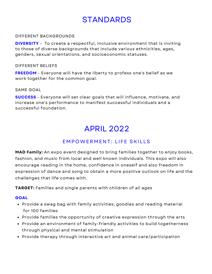## DIFFERENT BACKGROUNDS

**DIVERSITY** - To create a respectful, inclusive environment that is inviting to those of diverse backgrounds that include various ethnicities, ages, genders, sexual orientations, and socioeconomic statuses.

#### DIFFERENT BELIEFS

**FREEDOM** - Everyone will have the liberty to profess one's belief as we work together for the common goal.

#### SAME GOAL

**SUCCESS** - Everyone will set clear goals that will influence, motivate, and increase one's performance to manifest successful individuals and a successful foundation.

## APRIL 2022

## **EMPOWERMENT: LIFE SKILLS**

**MAD Family:** An expo event designed to bring families together to enjoy books, fashion, and music from local and well known individuals. This expo will also encourage reading in the home, confidence in oneself and also freedom in expression of dance and song to obtain a more positive outlook on life and the challenges that life comes with.

**TARGET:** Families and single parents with children of all ages

- Provide a swag bag with family activities, goodies and reading material for 100 families
- Provide families the opportunity of creative expression through the arts
- Provide an environment of family-friendly activities to build togetherness through physical and mental stimulation
- Provide therapy through interactive art and animal care/participation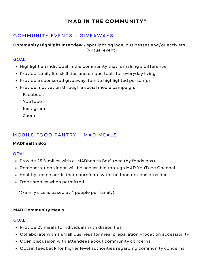## C OMMUNITY EVENTS + G IVEAWAYS

**Community Highlight Interview -** spotlighting local businesses and/or activists (virtual event)

## **GOAL**

- Highlight an individual in the community that is making a difference
- Provide family life skill tips and unique tools for everyday living
- Provide a sponsored giveaway item to highlighted person(s)
- Provide motivation through a social media campaign:
	- Facebook
	- YouTube
	- Instagram
	- $-700m$

## MOBILE FOOD PANTRY + MAD MEALS

## **MADhealth Box**

#### **GOAL**

- Provide 25 families with a "MADhealth Box" (healthy foods box)
- Demonstration videos will be accessible through MAD YouTube Channel
- Healthy recipe cards that coordinate with the food options provided
- Free samples when permitted
	- \*(Family size is based at 4 people per family)

## **MAD Community Meals**

- Provide 25 meals to individuals with disabilities
- Collaborate with a small business for meal preparation + location accessibility
- Open discussion with attendees about community concerns
- Obtain feedback for higher level authorities regarding community concerns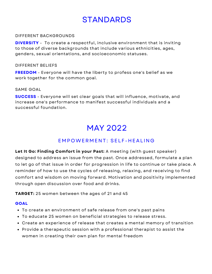#### DIFFERENT BACKGROUNDS

**DIVERSITY** - To create a respectful, inclusive environment that is inviting to those of diverse backgrounds that include various ethnicities, ages, genders, sexual orientations, and socioeconomic statuses.

#### DIFFERENT BELIEFS

**FREEDOM** - Everyone will have the liberty to profess one's belief as we work together for the common goal.

#### SAME GOAL

**SUCCESS** - Everyone will set clear goals that will influence, motivate, and increase one's performance to manifest successful individuals and a successful foundation.

## MAY 2022

## EMPOWERMENT: SELF-HEALING

**Let It Go: Finding Comfort in your Past:** A meeting (with guest speaker) designed to address an issue from the past. Once addressed, formulate a plan to let go of that issue in order for progression in life to continue or take place. A reminder of how to use the cycles of releasing, relaxing, and receiving to find comfort and wisdom on moving forward. Motivation and positivity implemented through open discussion over food and drinks.

**TARGET:** 25 women between the ages of 21 and 45

- To create an environment of safe release from one's past pains
- To educate 25 women on beneficial strategies to release stress.
- Create an experience of release that creates a mental memory of transition
- Provide a therapeutic session with a professional therapist to assist the women in creating their own plan for mental freedom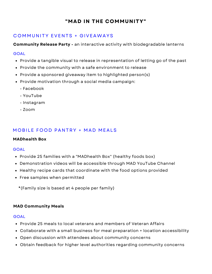## C OMMUNITY EVENTS + G IVEAWAYS

**Community Release Party -** an interactive activity with biodegradable lanterns

## **GOAL**

- Provide a tangible visual to release in representation of letting go of the past
- Provide the community with a safe environment to release
- Provide a sponsored giveaway item to highlighted person(s)
- Provide motivation through a social media campaign:
	- Facebook
	- YouTube
	- Instagram
	- Zoom

## MOBILE FOOD PANTRY + MAD MEALS

## **MADhealth Box**

## **GOAL**

- Provide 25 families with a "MADhealth Box" (healthy foods box)
- Demonstration videos will be accessible through MAD YouTube Channel
- Healthy recipe cards that coordinate with the food options provided
- Free samples when permitted
	- \*(Family size is based at 4 people per family)

## **MAD Community Meals**

- Provide 25 meals to local veterans and members of Veteran Affairs
- Collaborate with a small business for meal preparation + location accessibility
- Open discussion with attendees about community concerns
- Obtain feedback for higher level authorities regarding community concerns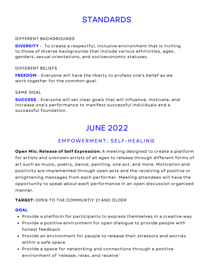#### DIFFERENT BACKGROUNDS

**DIVERSITY** - To create a respectful, inclusive environment that is inviting to those of diverse backgrounds that include various ethnicities, ages, genders, sexual orientations, and socioeconomic statuses.

#### DIFFERENT BELIEFS

**FREEDOM** - Everyone will have the liberty to profess one's belief as we work together for the common goal.

#### SAME GOAL

**SUCCESS** - Everyone will set clear goals that will influence, motivate, and increase one's performance to manifest successful individuals and a successful foundation.

## JUNE 2022

## EMPOWERMENT: SELF-HEALING

**Open Mic: Release of Self Expression:** A meeting designed to create a platform for artists and unknown artists of all ages to release through different forms of art such as music, poetry, dance, painting, one act, and more. Motivation and positivity are implemented through open acts and the receiving of positive or enlightening messages from each performer. Meeting attendees will have the opportunity to speak about each performance in an open discussion organized manner.

## **TARGET:** OPEN TO THE COMMUNTIY 21 AND OLDER

- Provide a platform for participants to express themselves in a creative way
- Provide a positive environment for open dialogue to provide people with honest feedback
- Provide an environment for people to release their stressors and worries within a safe space
- Provide a space for networking and connections through a positive environment of 'release, relax, and receive'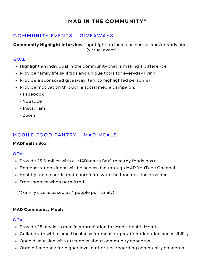## C OMMUNITY EVENTS + G IVEAWAYS

**Community Highlight Interview -** spotlighting local businesses and/or activists (virtual event)

## **GOAL**

- Highlight an individual in the community that is making a difference
- Provide family life skill tips and unique tools for everyday living
- Provide a sponsored giveaway item to highlighted person(s)
- Provide motivation through a social media campaign:
	- Facebook
	- YouTube
	- Instagram
	- $-700m$

## MOBILE FOOD PANTRY + MAD MEALS

## **MADhealth Box**

#### **GOAL**

- Provide 25 families with a "MADhealth Box" (healthy foods box)
- Demonstration videos will be accessible through MAD YouTube Channel
- Healthy recipe cards that coordinate with the food options provided
- Free samples when permitted
	- \*(Family size is based at 4 people per family)

## **MAD Community Meals**

- Provide 25 meals to men in appreciation for Men's Health Month
- Collaborate with a small business for meal preparation + location accessibility
- Open discussion with attendees about community concerns
- Obtain feedback for higher level authorities regarding community concerns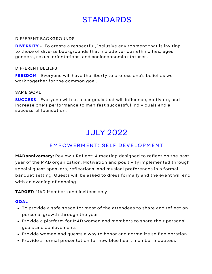#### DIFFERENT BACKGROUNDS

**DIVERSITY** - To create a respectful, inclusive environment that is inviting to those of diverse backgrounds that include various ethnicities, ages, genders, sexual orientations, and socioeconomic statuses.

#### DIFFERENT BELIEFS

**FREEDOM** - Everyone will have the liberty to profess one's belief as we work together for the common goal.

#### SAME GOAL

**SUCCESS** - Everyone will set clear goals that will influence, motivate, and increase one's performance to manifest successful individuals and a successful foundation.

## JULY 2022

## EMPOWERMENT: SELF DEVELOPMENT

**MADanniversary:** Review + Reflect; A meeting designed to reflect on the past year of the MAD organization. Motivation and positivity implemented through special guest speakers, reflections, and musical preferences in a formal banquet setting. Guests will be asked to dress formally and the event will end with an evening of dancing.

**TARGET:** MAD Members and invitees only

- To provide a safe space for most of the attendees to share and reflect on personal growth through the year
- Provide a platform for MAD women and members to share their personal goals and achievements
- Provide women and guests a way to honor and normalize self celebration
- Provide a formal presentation for new blue heart member inductees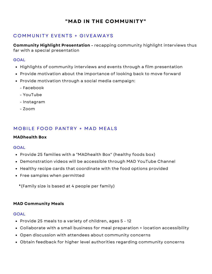## C OMMUNITY EVENTS + G IVEAWAYS

**Community Highlight Presentation -** recapping community highlight interviews thus far with a special presentation

#### **GOAL**

- Highlights of community interviews and events through a film presentation
- Provide motivation about the importance of looking back to move forward
- Provide motivation through a social media campaign:
	- Facebook
	- YouTube
	- Instagram
	- $-700m$

## MOBILE FOOD PANTRY + MAD MEALS

#### **MADhealth Box**

#### **GOAL**

- Provide 25 families with a "MADhealth Box" (healthy foods box)
- Demonstration videos will be accessible through MAD YouTube Channel
- Healthy recipe cards that coordinate with the food options provided
- Free samples when permitted
	- \*(Family size is based at 4 people per family)

#### **MAD Community Meals**

- Provide 25 meals to a variety of children, ages 5 12
- Collaborate with a small business for meal preparation + location accessibility
- Open discussion with attendees about community concerns
- Obtain feedback for higher level authorities regarding community concerns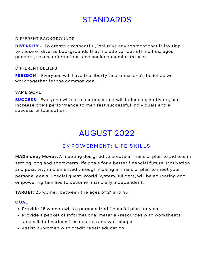#### DIFFERENT BACKGROUNDS

**DIVERSITY** - To create a respectful, inclusive environment that is inviting to those of diverse backgrounds that include various ethnicities, ages, genders, sexual orientations, and socioeconomic statuses.

#### DIFFERENT BELIEFS

**FREEDOM** - Everyone will have the liberty to profess one's belief as we work together for the common goal.

#### SAME GOAL

**SUCCESS** - Everyone will set clear goals that will influence, motivate, and increase one's performance to manifest successful individuals and a successful foundation.

## AUGUST 2022

## EMPOWERMENT: LIFE SKILLS

**MADmoney Moves:** A meeting designed to create a financial plan to aid one in setting long and short-term life goals for a better financial future. Motivation and positivity implemented through making a financial plan to meet your personal goals. Special guest, World System Builders, will be educating and empowering families to become financially independent.

**TARGET:** 25 women between the ages of 21 and 45

- Provide 25 women with a personalized financial plan for year
- Provide a packet of informational material/resources with worksheets and a list of various free courses and workshops
- Assist 25 women with credit repair education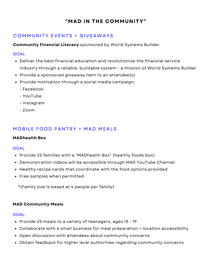## C OMMUNITY EVENTS + G IVEAWAYS

**Community Financial Literacy** sponsored by World Systems Builder

## **GOAL**

- Deliver the best financial education and revolutionize the financial service industry through a reliable, buildable system - a mission of World Systems Builder
- Provide a sponsored giveaway item to an attendee(s)
- Provide motivation through a social media campaign:
	- Facebook
	- YouTube
	- Instagram
	- $-7$ oom

## MOBILE FOOD PANTRY + MAD MEALS

## **MADhealth Box**

## **GOAL**

- Provide 25 families with a "MADhealth Box" (healthy foods box)
- Demonstration videos will be accessible through MAD YouTube Channel
- Healthy recipe cards that coordinate with the food options provided
- Free samples when permitted
	- \*(Family size is based at 4 people per family)

## **MAD Community Meals**

- Provide 25 meals to a variety of teenagers, ages 13 19
- Collaborate with a small business for meal preparation + location accessibility
- Open discussion with attendees about community concerns
- Obtain feedback for higher level authorities regarding community concerns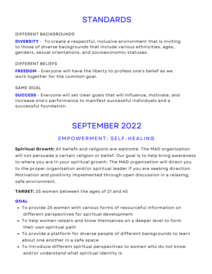## DIFFERENT BACKGROUNDS

**DIVERSITY** - To create a respectful, inclusive environment that is inviting to those of diverse backgrounds that include various ethnicities, ages, genders, sexual orientations, and socioeconomic statuses.

#### DIFFERENT BELIEFS

**FREEDOM** - Everyone will have the liberty to profess one's belief as we work together for the common goal.

## SAME GOAL

**SUCCESS** - Everyone will set clear goals that will influence, motivate, and increase one's performance to manifest successful individuals and a successful foundation.

## SEPTEMBER 2022

## EMPOWERMENT: SELF-HEALING

**Spiritual Growth:** All beliefs and religions are welcome. The MAD organization will not persuade a certain religion or belief. Our goal is to help bring awareness to where you are in your spiritual growth. The MAD organization will direct you to the proper organization and/or spiritual leader if you are seeking direction. Motivation and positivity implemented through open discussion in a relaxing, safe environment.

**TARGET:** 25 women between the ages of 21 and 45

- To provide 25 women with various forms of resourceful information on different perspectives for spiritual development
- To help women relearn and know themselves on a deeper level to form their own spiritual path
- To provide a platform for diverse people of different backgrounds to learn about one another in a safe space
- To introduce different spiritual perspectives to women who do not know and/or understand what spiritual identity is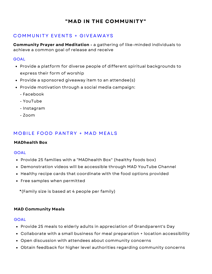## C OMMUNITY EVENTS + G IVEAWAYS

**Community Prayer and Meditation -** a gathering of like-minded individuals to achieve a common goal of release and receive

## **GOAL**

- Provide a platform for diverse people of different spiritual backgrounds to express their form of worship
- Provide a sponsored giveaway item to an attendee(s)
- Provide motivation through a social media campaign:
	- Facebook
	- YouTube
	- Instagram
	- $-7$ oom

## MOBILE FOOD PANTRY + MAD MEALS

## **MADhealth Box**

## **GOAL**

- Provide 25 families with a "MADhealth Box" (healthy foods box)
- Demonstration videos will be accessible through MAD YouTube Channel
- Healthy recipe cards that coordinate with the food options provided
- Free samples when permitted
	- \*(Family size is based at 4 people per family)

## **MAD Community Meals**

- Provide 25 meals to elderly adults in appreciation of Grandparent's Day
- Collaborate with a small business for meal preparation + location accessibility
- Open discussion with attendees about community concerns
- Obtain feedback for higher level authorities regarding community concerns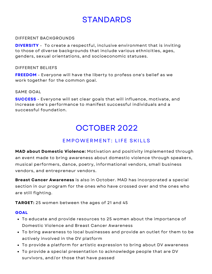## DIFFERENT BACKGROUNDS

**DIVERSITY** - To create a respectful, inclusive environment that is inviting to those of diverse backgrounds that include various ethnicities, ages, genders, sexual orientations, and socioeconomic statuses.

#### DIFFERENT BELIEFS

**FREEDOM** - Everyone will have the liberty to profess one's belief as we work together for the common goal.

#### SAME GOAL

**SUCCESS** - Everyone will set clear goals that will influence, motivate, and increase one's performance to manifest successful individuals and a successful foundation.

## OCTOBER 2022

## EMPOWERMENT: LIFE SKILLS

**MAD about Domestic Violence:** Motivation and positivity implemented through an event made to bring awareness about domestic violence through speakers, musical performers, dance, poetry, informational vendors, small business vendors, and entrepreneur vendors.

**Breast Cancer Awareness** is also in October. MAD has incorporated a special section in our program for the ones who have crossed over and the ones who are still fighting.

**TARGET:** 25 women between the ages of 21 and 45

- To educate and provide resources to 25 women about the importance of Domestic Violence and Breast Cancer Awareness
- To bring awareness to local businesses and provide an outlet for them to be actively involved in the DV platform
- To provide a platform for artistic expression to bring about DV awareness
- To provide a special presentation to acknowledge people that are DV survivors, and/or those that have passed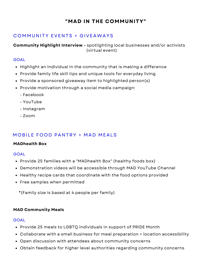## C OMMUNITY EVENTS + G IVEAWAYS

**Community Highlight Interview -** spotlighting local businesses and/or activists (virtual event)

#### **GOAL**

- Highlight an individual in the community that is making a difference
- Provide family life skill tips and unique tools for everyday living
- Provide a sponsored giveaway item to highlighted person(s)
- Provide motivation through a social media campaign:
	- Facebook
	- YouTube
	- Instagram
	- $-700m$

## MOBILE FOOD PANTRY + MAD MEALS

## **MADhealth Box**

#### **GOAL**

- Provide 25 families with a "MADhealth Box" (healthy foods box)
- Demonstration videos will be accessible through MAD YouTube Channel
- Healthy recipe cards that coordinate with the food options provided
- Free samples when permitted
	- \*(Family size is based at 4 people per family)

## **MAD Community Meals**

- Provide 25 meals to LGBTQ individuals in support of PRIDE Month
- Collaborate with a small business for meal preparation + location accessibility
- Open discussion with attendees about community concerns
- Obtain feedback for higher level authorities regarding community concerns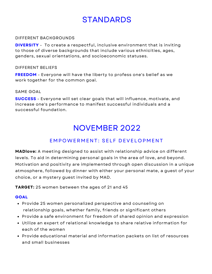## DIFFERENT BACKGROUNDS

**DIVERSITY** - To create a respectful, inclusive environment that is inviting to those of diverse backgrounds that include various ethnicities, ages, genders, sexual orientations, and socioeconomic statuses.

## DIFFERENT BELIEFS

**FREEDOM** - Everyone will have the liberty to profess one's belief as we work together for the common goal.

#### SAME GOAL

**SUCCESS** - Everyone will set clear goals that will influence, motivate, and increase one's performance to manifest successful individuals and a successful foundation.

## NOVEMBER 2022

## EMPOWERMENT: SELF DEVELOPMENT

**MADlove:** A meeting designed to assist with relationship advice on different levels. To aid in determining personal goals in the area of love, and beyond. Motivation and positivity are implemented through open discussion in a unique atmosphere, followed by dinner with either your personal mate, a guest of your choice, or a mystery guest invited by MAD.

**TARGET:** 25 women between the ages of 21 and 45

- Provide 25 women personalized perspective and counseling on relationship goals, whether family, friends or significant others
- Provide a safe environment for freedom of shared opinion and expression
- Utilize an expert of relational knowledge to share relative information for each of the women
- Provide educational material and information packets on list of resources and small businesses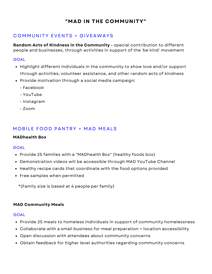## C OMMUNITY EVENTS + G IVEAWAYS

**Random Acts of Kindness in the Community -** special contribution to different people and businesses, through activities in support of the 'be kind' movement

## **GOAL**

- Highlight different individuals in the community to show love and/or support through activities, volunteer assistance, and other random acts of kindness
- Provide motivation through a social media campaign:
	- Facebook
	- YouTube
	- Instagram
	- $-7$ oom

## MOBILE FOOD PANTRY + MAD MEALS

## **MADhealth Box**

## **GOAL**

- Provide 25 families with a "MADhealth Box" (healthy foods box)
- Demonstration videos will be accessible through MAD YouTube Channel
- Healthy recipe cards that coordinate with the food options provided
- Free samples when permitted
	- \*(Family size is based at 4 people per family)

## **MAD Community Meals**

- Provide 25 meals to homeless individuals in support of community homelessness
- Collaborate with a small business for meal preparation + location accessibility
- Open discussion with attendees about community concerns
- Obtain feedback for higher level authorities regarding community concerns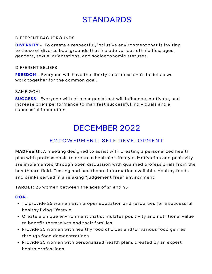## DIFFERENT BACKGROUNDS

**DIVERSITY** - To create a respectful, inclusive environment that is inviting to those of diverse backgrounds that include various ethnicities, ages, genders, sexual orientations, and socioeconomic statuses.

## DIFFERENT BELIEFS

**FREEDOM** - Everyone will have the liberty to profess one's belief as we work together for the common goal.

#### SAME GOAL

**SUCCESS** - Everyone will set clear goals that will influence, motivate, and increase one's performance to manifest successful individuals and a successful foundation.

## DECEMBER 2022

## EMPOWERMENT: SELF DEVELOPMENT

**MADHealth:** A meeting designed to assist with creating a personalized health plan with professionals to create a healthier lifestyle. Motivation and positivity are implemented through open discussion with qualified professionals from the healthcare field. Testing and healthcare information available. Healthy foods and drinks served in a relaxing "judgement free" environment.

## **TARGET:** 25 women between the ages of 21 and 45

- To provide 25 women with proper education and resources for a successful healthy living lifestyle
- Create a unique environment that stimulates positivity and nutritional value to benefit themselves and their families
- Provide 25 women with healthy food choices and/or various food genres through food demonstrations
- Provide 25 women with personalized health plans created by an expert health professional